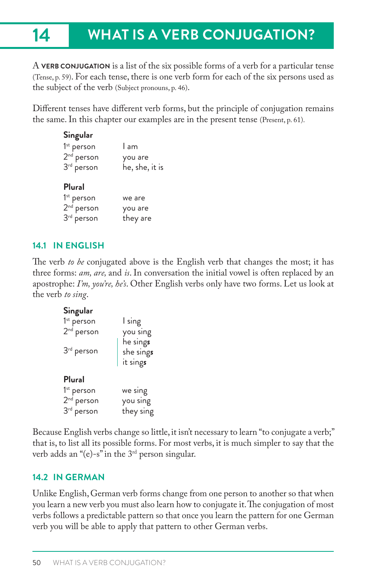# **14 WHAT IS A VERB CONJUGATION?**

A **VERB CONJUGATION** is a list of the six possible forms of a verb for a particular tense (Tense, p. 59). For each tense, there is one verb form for each of the six persons used as the subject of the verb (Subject pronouns, p. 46).

Different tenses have different verb forms, but the principle of conjugation remains the same. In this chapter our examples are in the present tense (Present, p. 61).

| Singular               |                |
|------------------------|----------------|
| 1 <sup>st</sup> person | l am           |
| $2nd$ person           | you are        |
| $3rd$ person           | he, she, it is |
| Plural                 |                |
| 1 <sup>st</sup> person | we are         |
| $2nd$ person           | you are        |
| $3rd$ person           | they are       |

# **14.1 IN ENGLISH**

The verb *to be* conjugated above is the English verb that changes the most; it has three forms: *am, are,* and *is*. In conversation the initial vowel is often replaced by an apostrophe: *I'm, you're, he's*. Other English verbs only have two forms. Let us look at the verb *to sing*.

# **Singular**

| $1st$ person<br>$2nd$ person | I sing<br>you sing<br>he sings |
|------------------------------|--------------------------------|
| 3 <sup>rd</sup> person       | she sings<br>it sings          |
| Plural                       |                                |
| $1st$ person                 | we sing                        |
| $2nd$ person                 | you sing                       |
| 3 <sup>rd</sup> person       | they sing                      |

Because English verbs change so little, it isn't necessary to learn "to conjugate a verb;" that is, to list all its possible forms. For most verbs, it is much simpler to say that the verb adds an " $(e)$ -s" in the 3<sup>rd</sup> person singular.

# **14.2 IN GERMAN**

Unlike English, German verb forms change from one person to another so that when you learn a new verb you must also learn how to conjugate it. The conjugation of most verbs follows a predictable pattern so that once you learn the pattern for one German verb you will be able to apply that pattern to other German verbs.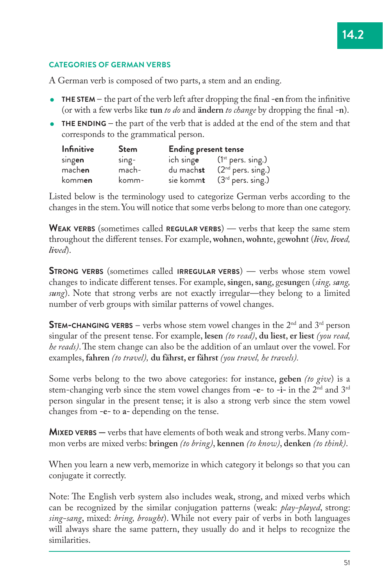#### **CATEGORIES OF GERMAN VERBS**

A German verb is composed of two parts, a stem and an ending.

- **THE STEM** the part of the verb left after dropping the final **-en** from the infinitive (or with a few verbs like tun *to do* and **ändern** *to change* by dropping the final -n).
- **THE ENDING** the part of the verb that is added at the end of the stem and that corresponds to the grammatical person.

| <b>Infinitive</b> | <b>Stem</b> | <b>Ending present tense</b> |                                  |  |
|-------------------|-------------|-----------------------------|----------------------------------|--|
| singen            | $s$ ing-    |                             | ich singe $(1^{st}$ pers. sing.) |  |
| machen            | mach-       | du mach <b>st</b>           | $(2nd$ pers. sing.)              |  |
| komm <b>en</b>    | komm-       | sie komm <b>t</b>           | $(3rd$ pers. sing.)              |  |

Listed below is the terminology used to categorize German verbs according to the changes in the stem. You will notice that some verbs belong to more than one category.

**WEAK VERBS** (sometimes called **REGULAR VERBS**) — verbs that keep the same stem throughout the different tenses. For example, wohnen, wohnte, gewohnt (live, lived, *lived*).

**STRONG VERBS** (sometimes called **IRREGULAR VERBS**) — verbs whose stem vowel changes to indicate different tenses. For example, singen, sang, gesungen (*sing, sang*, *sung*). Note that strong verbs are not exactly irregular—they belong to a limited number of verb groups with similar patterns of vowel changes.

**STEM-CHANGING VERBS** – verbs whose stem vowel changes in the 2<sup>nd</sup> and 3<sup>rd</sup> person singular of the present tense. For example, **lesen** *(to read)*, **du liest**, **er liest** *(you read, he reads*). The stem change can also be the addition of an umlaut over the vowel. For examples, **fahren** *(to travel),* **du fährst, er fährst** *(you travel, he travels).*

Some verbs belong to the two above categories: for instance, **geben** *(to give*) is a stem-changing verb since the stem vowel changes from **-e**- to **-i-** in the 2nd and 3rd person singular in the present tense; it is also a strong verb since the stem vowel changes from **-e-** to **a-** depending on the tense.

**MIXED VERBS —** verbs that have elements of both weak and strong verbs. Many common verbs are mixed verbs: **bringen** *(to bring)*, **kennen** *(to know)*, **denken** *(to think)*.

When you learn a new verb, memorize in which category it belongs so that you can conjugate it correctly.

Note: The English verb system also includes weak, strong, and mixed verbs which can be recognized by the similar conjugation patterns (weak: *play-played*, strong: *sing-sang*, mixed: *bring, brought*). While not every pair of verbs in both languages will always share the same pattern, they usually do and it helps to recognize the similarities.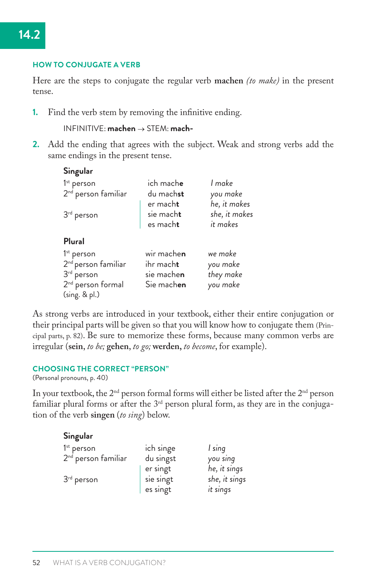#### **HOW TO CONJUGATE A VERB**

Here are the steps to conjugate the regular verb **machen** *(to make)* in the present tense.

**1.** Find the verb stem by removing the infinitive ending.

```
INFINITIVE: machen o STEM: mach-
```
**2.** Add the ending that agrees with the subject. Weak and strong verbs add the same endings in the present tense.

| Singular                        |                   |               |
|---------------------------------|-------------------|---------------|
| $1st$ person                    | ich mach <b>e</b> | I make        |
| 2 <sup>nd</sup> person familiar | du machst         | you make      |
|                                 | er mach <b>t</b>  | he, it makes  |
| 3 <sup>rd</sup> person          | sie macht         | she, it makes |
|                                 | es macht          | it makes      |
| Plural                          |                   |               |
| 1 <sup>st</sup> person          | wir machen        | we make       |
| 2 <sup>nd</sup> person familiar | ihr macht         | you make      |
| 3 <sup>rd</sup> person          | sie machen        | they make     |
| 2 <sup>nd</sup> person formal   | Sie machen        | you make      |
| (sing. & pl.)                   |                   |               |

As strong verbs are introduced in your textbook, either their entire conjugation or their principal parts will be given so that you will know how to conjugate them (Principal parts, p. 82). Be sure to memorize these forms, because many common verbs are irregular (**sein**, *to be;* **gehen**, *to go;* **werden,** *to become*, for example).

#### **CHOOSING THE CORRECT "PERSON"**

(Personal pronouns, p. 40)

In your textbook, the  $2<sup>nd</sup>$  person formal forms will either be listed after the  $2<sup>nd</sup>$  person familiar plural forms or after the  $3<sup>rd</sup>$  person plural form, as they are in the conjugation of the verb **singen** (*to sing*) below.

| Singular                        |           |               |
|---------------------------------|-----------|---------------|
| $1st$ person                    | ich singe | I sing        |
| 2 <sup>nd</sup> person familiar | du singst | you sing      |
|                                 | er singt  | he, it sings  |
| $3rd$ person                    | sie singt | she, it sings |
|                                 | es singt  | it sings      |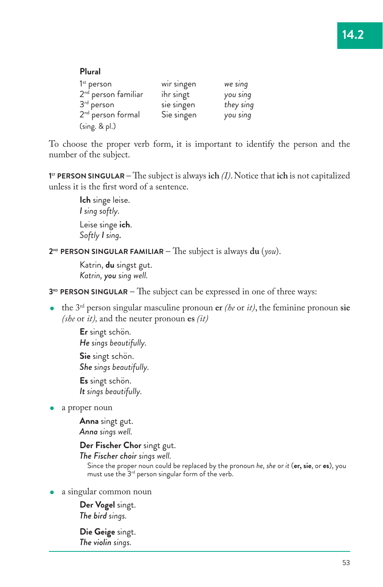#### **Plural** 1<sup>st</sup> person wir singen *we sing* 2nd person familiar ihr singt *you sing* 3rd person sie singen *they sing* 2<sup>nd</sup> person formal (sing. & pl.) Sie singen *you sing*

To choose the proper verb form, it is important to identify the person and the number of the subject.

**1**<sup> $\text{F}$  **PERSON SINGULAR** – The subject is always **ich** *(I)*. Notice that **ich** is not capitalized</sup> unless it is the first word of a sentence.

> **Ich** singe leise. *I sing softly.* Leise singe **ich**. *Softly I sing.*

**2ND PERSON SINGULAR FAMILIAR —** !e subject is always **du** (*you*).

Katrin, **du** singst gut. *Katrin, you sing well.*

**3<sup>RD</sup> PERSON SINGULAR** – The subject can be expressed in one of three ways:

• the  $3^{rd}$  person singular masculine pronoun **er** *(he* or *it)*, the feminine pronoun sie *(she* or *it),* and the neuter pronoun **es** *(it)*

**Er** singt schön*. He sings beautifully.* **Sie** singt schön. *She sings beautifully.* **Es** singt schön. *It sings beautifully.*

a proper noun

**Anna** singt gut. *Anna sings well.*

**Der Fischer Chor** singt gut.

*The Fischer choir sings well.*

Since the proper noun could be replaced by the pronoun *he, she* or *it* (**er, sie**, or **es**), you must use the 3rd person singular form of the verb.

a singular common noun

**Der Vogel** singt. *The bird sings.*

**Die Geige** singt. *The violin sings.*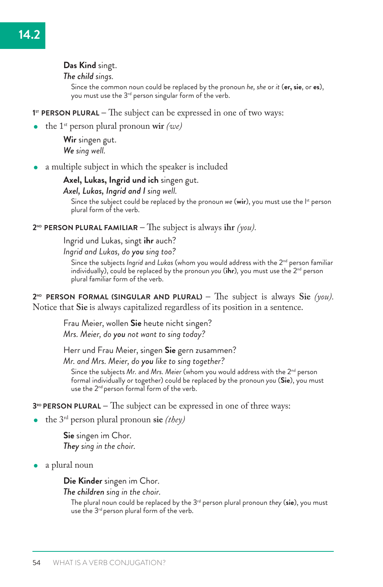#### **Das Kind** singt.

#### *The child sings.*

Since the common noun could be replaced by the pronoun *he, she* or *it* (**er, sie**, or **es**), you must use the 3rd person singular form of the verb.

**1<sup>st</sup> PERSON PLURAL** – The subject can be expressed in one of two ways:

the 1st person plural pronoun **wir** *(we)*

**Wir** singen gut. *We sing well.*

a multiple subject in which the speaker is included

#### **Axel, Lukas, Ingrid und ich** singen gut.

#### *Axel, Lukas, Ingrid and I sing well.*

Since the subject could be replaced by the pronoun *we* (wir), you must use the l<sup>st</sup> person plural form of the verb.

#### **2ND PERSON PLURAL FAMILIAR —** !e subject is always **ihr** *(you).*

Ingrid und Lukas, singt **ihr** auch?

*Ingrid and Lukas, do you sing too?*

Since the subjects *Ingrid* and *Lukas* (whom you would address with the 2<sup>nd</sup> person familiar individually), could be replaced by the pronoun *you* (**ihr**)*,* you must use the 2nd person plural familiar form of the verb.

**2ND PERSON FORMAL (SINGULAR AND PLURAL) —** !e subject is always **Sie** *(you).*  Notice that **Sie** is always capitalized regardless of its position in a sentence.

> Frau Meier, wollen **Sie** heute nicht singen? *Mrs. Meier, do you not want to sing today?*

Herr und Frau Meier, singen **Sie** gern zusammen?

*Mr. and Mrs. Meier, do you like to sing together?*

Since the subjects Mr. and Mrs. Meier (whom you would address with the 2<sup>nd</sup> person formal individually or together) could be replaced by the pronoun *you* (**Sie**), you must use the 2<sup>nd</sup> person formal form of the verb.

**3<sup>RD</sup> PERSON PLURAL –** The subject can be expressed in one of three ways:

the 3rd person plural pronoun **sie** *(they)*

**Sie** singen im Chor. *They sing in the choir.*

a plural noun

**Die Kinder** singen im Chor.

*The children sing in the choir.*

The plural noun could be replaced by the 3rd person plural pronoun *they* (**sie**), you must use the 3<sup>rd</sup> person plural form of the verb.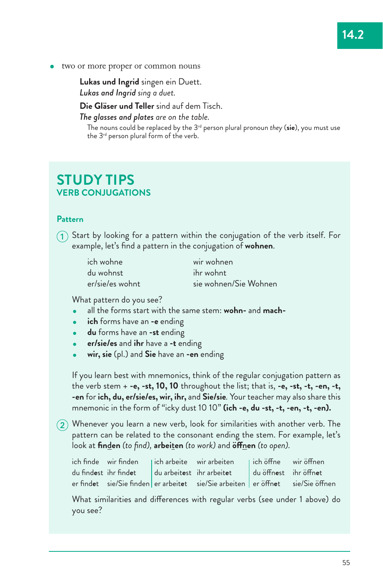two or more proper or common nouns

**Lukas und Ingrid** singen ein Duett. *Lukas and Ingrid sing a duet.*

**Die Gläser und Teller** sind auf dem Tisch.

*The glasses and plates are on the table.*

The nouns could be replaced by the 3rd person plural pronoun *they* (**sie**), you must use the 3<sup>rd</sup> person plural form of the verb.

# **STUDY TIPS VERB CONJUGATIONS**

# **Pattern**

 $(1)$  Start by looking for a pattern within the conjugation of the verb itself. For example, let's find a pattern in the conjugation of **wohnen**.

| ich wohne       | wir wohnen            |
|-----------------|-----------------------|
| du wohnst       | ihr wohnt             |
| er/sie/es wohnt | sie wohnen/Sie Wohnen |

What pattern do you see?

- all the forms start with the same stem: **wohn-** and **mach-**
- **ich** forms have an **-e** ending
- **du** forms have an **-st** ending
- **er/sie/es** and **ihr** have a **-t** ending
- **wir, sie** (pl.) and **Sie** have an **-en** ending

If you learn best with mnemonics, think of the regular conjugation pattern as the verb stem + **-e, -st, 10, 10** throughout the list; that is, **-e, -st, -t, -en, -t, -en** for **ich, du, er/sie/es, wir, ihr,** and **Sie/sie***.* Your teacher may also share this mnemonic in the form of "icky dust 10 10" **(ich -e, du -st, -t, -en, -t, -en).**

2 Whenever you learn a new verb, look for similarities with another verb. The pattern can be related to the consonant ending the stem. For example, let's look at **fin**d**en** *(to find),* **arbei**t**en** *(to work)* and **ö\$**n**en** *(to open).*

|  | ich finde wir finden   ich arbeite wir arbeiten   ich öffne wir öffnen         |  |
|--|--------------------------------------------------------------------------------|--|
|  | du findest ihr findet   du arbeitest ihr arbeitet   du öffnest ihr öffnet      |  |
|  | er findet sie/Sie finden er arbeitet sie/Sie arbeiten er öffnet sie/Sie öffnen |  |

What similarities and differences with regular verbs (see under 1 above) do you see?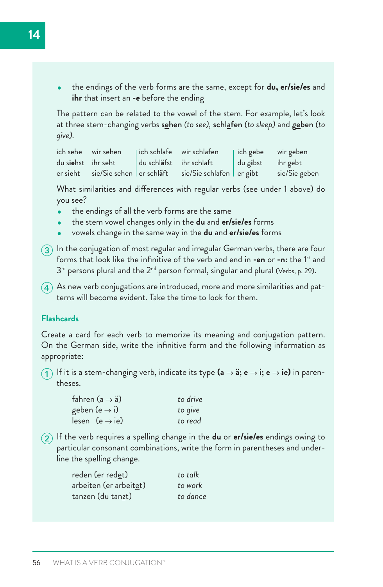the endings of the verb forms are the same, except for **du, er/sie/es** and **ihr** that insert an **-e** before the ending

The pattern can be related to the vowel of the stem. For example, let's look at three stem-changing verbs sehen *(to see),* schlafen *(to sleep)* and geben *(to give).*

ich sehe wir sehen | ich schlafe wir schlafen | ich gebe wir geben du s**ie**hst ihr seht du schl**ä**fst ihr schlaft du g**i**bst ihr gebt er sieht sie/Sie sehen er schläft sie/Sie schlafen er gibt sie/Sie geben

What similarities and differences with regular verbs (see under 1 above) do you see?

- the endings of all the verb forms are the same
- the stem vowel changes only in the **du** and **er/sie/es** forms
- vowels change in the same way in the **du** and **er/sie/es** forms
- $\binom{3}{3}$  In the conjugation of most regular and irregular German verbs, there are four forms that look like the infinitive of the verb and end in **-en** or **-n:** the 1st and  $3<sup>rd</sup>$  persons plural and the  $2<sup>nd</sup>$  person formal, singular and plural (Verbs, p. 29).
- $\overline{4}$ ) As new verb conjugations are introduced, more and more similarities and patterns will become evident. Take the time to look for them.

# **Flashcards**

Create a card for each verb to memorize its meaning and conjugation pattern. On the German side, write the infinitive form and the following information as appropriate:

1 If it is a stem-changing verb, indicate its type  $(a \rightarrow a; e \rightarrow i; e \rightarrow ie)$  in parentheses.

| fahren (a $\rightarrow$ a) | to drive |
|----------------------------|----------|
| geben (e $\rightarrow$ i)  | to give  |
| lesen $(e \rightarrow ie)$ | to read  |

- 
- 2 If the verb requires a spelling change in the **du** or **er/sie/es** endings owing to particular consonant combinations, write the form in parentheses and underline the spelling change.

| reden (er redet)           | to talk  |
|----------------------------|----------|
| arbeiten (er arbeitet)     | to work  |
| tanzen (du tan <u>z</u> t) | to dance |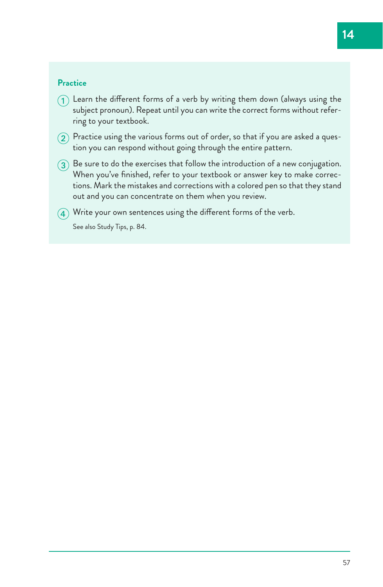# **Practice**

- $\Omega$  Learn the different forms of a verb by writing them down (always using the subject pronoun). Repeat until you can write the correct forms without referring to your textbook.
- $\Omega$  Practice using the various forms out of order, so that if you are asked a question you can respond without going through the entire pattern.
- $\Omega$  Be sure to do the exercises that follow the introduction of a new conjugation. When you've finished, refer to your textbook or answer key to make corrections. Mark the mistakes and corrections with a colored pen so that they stand out and you can concentrate on them when you review.
- $\left( \widehat{4} \right)$  Write your own sentences using the different forms of the verb. See also Study Tips, p. 84.